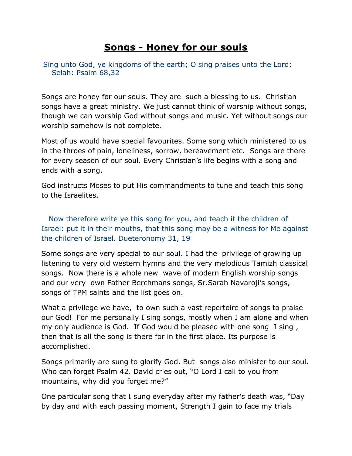## **Songs - Honey for our souls**

Sing unto God, ye kingdoms of the earth; O sing praises unto the Lord; Selah: Psalm 68,32

Songs are honey for our souls. They are such a blessing to us. Christian songs have a great ministry. We just cannot think of worship without songs, though we can worship God without songs and music. Yet without songs our worship somehow is not complete.

Most of us would have special favourites. Some song which ministered to us in the throes of pain, loneliness, sorrow, bereavement etc. Songs are there for every season of our soul. Every Christian's life begins with a song and ends with a song.

God instructs Moses to put His commandments to tune and teach this song to the Israelites.

 Now therefore write ye this song for you, and teach it the children of Israel: put it in their mouths, that this song may be a witness for Me against the children of Israel. Dueteronomy 31, 19

Some songs are very special to our soul. I had the privilege of growing up listening to very old western hymns and the very melodious Tamizh classical songs. Now there is a whole new wave of modern English worship songs and our very own Father Berchmans songs, Sr.Sarah Navaroji's songs, songs of TPM saints and the list goes on.

What a privilege we have, to own such a vast repertoire of songs to praise our God! For me personally I sing songs, mostly when I am alone and when my only audience is God. If God would be pleased with one song I sing , then that is all the song is there for in the first place. Its purpose is accomplished.

Songs primarily are sung to glorify God. But songs also minister to our soul. Who can forget Psalm 42. David cries out, "O Lord I call to you from mountains, why did you forget me?"

One particular song that I sung everyday after my father's death was, "Day by day and with each passing moment, Strength I gain to face my trials